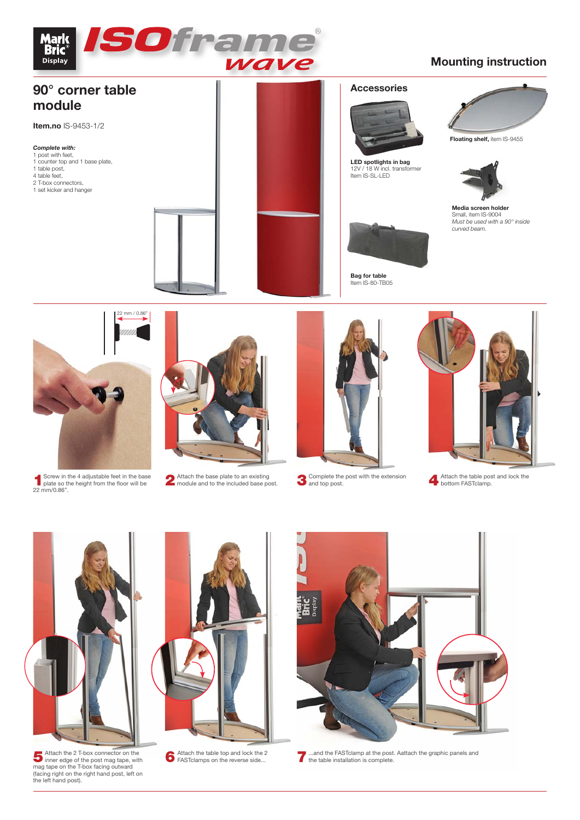

## **Mounting instruction**





- 
- 1Screw in the 4 adjustable feet in the base plate so the height from the floor will be 22 mm/0.86".
- 2 Attach the base plate to an existing<br>module and to the included base post.



Attach the base plate to an existing **Attach the include the post with the extension A** Attach the table post and lock the module and to the included base post. <br> **A** bottom FASTclamp.





Attach the 2 T-box connector on the<br>
mag tape on the T-box facing appe, with<br>
mag tape on the T-box facing outward<br>
(facing right on the right hand post, left on<br>
the left hand post).



Attach the table top and lock the 2<br>FASTclamps on the reverse side...